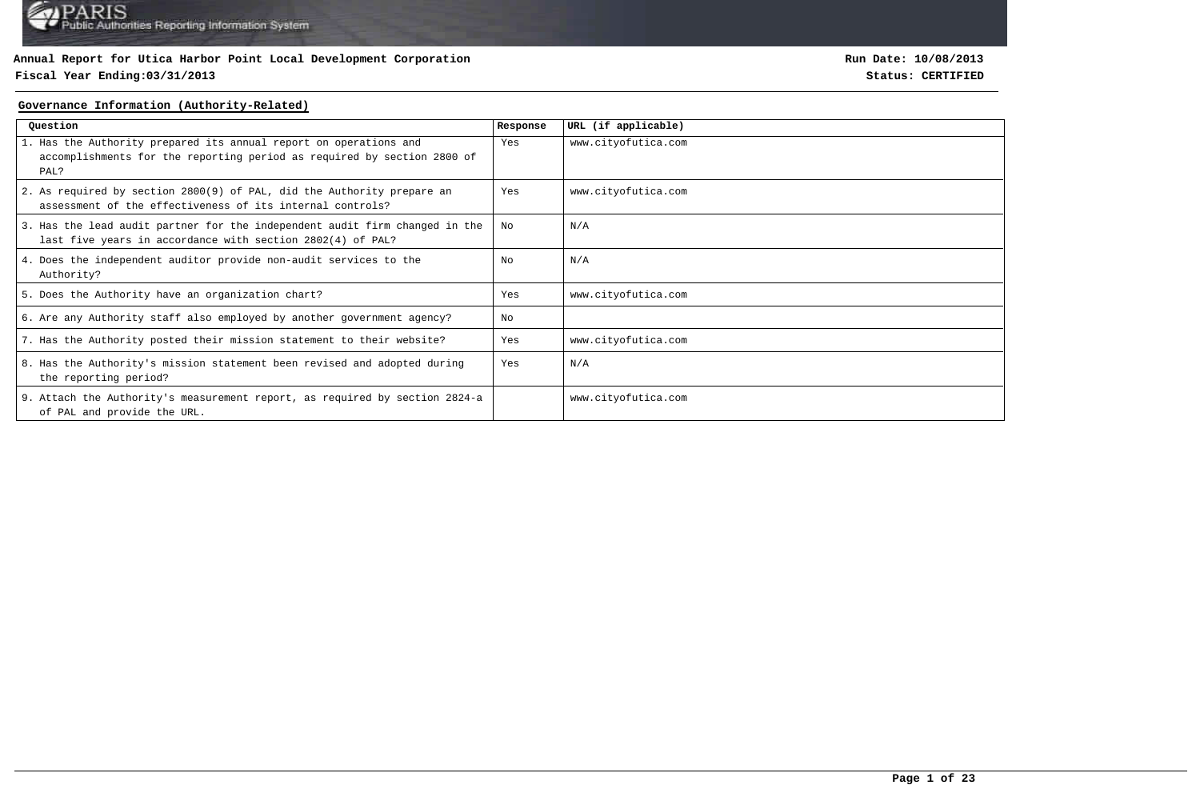### **Fiscal Year Ending:03/31/2013 Status: CERTIFIED**

**Run Date: 10/08/2013**

#### **Governance Information (Authority-Related)**

| Question                                                                                                                                             | Response | URL (if applicable) |
|------------------------------------------------------------------------------------------------------------------------------------------------------|----------|---------------------|
| 1. Has the Authority prepared its annual report on operations and<br>accomplishments for the reporting period as required by section 2800 of<br>PAL? | Yes      | www.cityofutica.com |
| 2. As required by section 2800(9) of PAL, did the Authority prepare an<br>assessment of the effectiveness of its internal controls?                  | Yes      | www.cityofutica.com |
| 3. Has the lead audit partner for the independent audit firm changed in the<br>last five years in accordance with section 2802(4) of PAL?            | No       | N/A                 |
| 4. Does the independent auditor provide non-audit services to the<br>Authority?                                                                      | No       | N/A                 |
| 5. Does the Authority have an organization chart?                                                                                                    | Yes      | www.cityofutica.com |
| 6. Are any Authority staff also employed by another government agency?                                                                               | No       |                     |
| 7. Has the Authority posted their mission statement to their website?                                                                                | Yes      | www.cityofutica.com |
| 8. Has the Authority's mission statement been revised and adopted during<br>the reporting period?                                                    | Yes      | N/A                 |
| 9. Attach the Authority's measurement report, as required by section 2824-a<br>of PAL and provide the URL.                                           |          | www.cityofutica.com |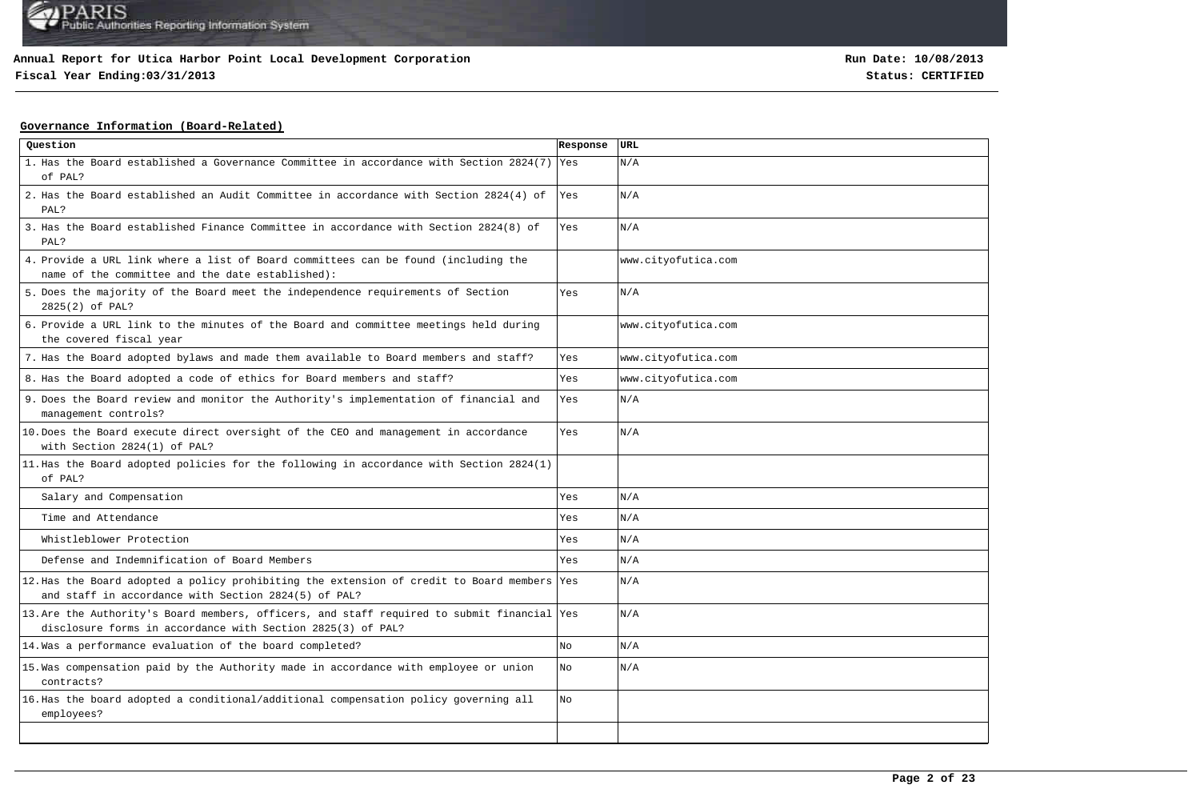## **Fiscal Year Ending:03/31/2013 Status: CERTIFIED**

### **Governance Information (Board-Related)**

| Question                                                                                                                                                   | Response | URL                 |
|------------------------------------------------------------------------------------------------------------------------------------------------------------|----------|---------------------|
| 1. Has the Board established a Governance Committee in accordance with Section 2824(7) Yes<br>of PAL?                                                      |          | N/A                 |
| 2. Has the Board established an Audit Committee in accordance with Section 2824(4) of<br>PAL?                                                              | Yes      | N/A                 |
| 3. Has the Board established Finance Committee in accordance with Section 2824(8) of<br>PAL?                                                               | Yes      | N/A                 |
| 4. Provide a URL link where a list of Board committees can be found (including the<br>name of the committee and the date established):                     |          | www.cityofutica.com |
| 5. Does the majority of the Board meet the independence requirements of Section<br>2825(2) of PAL?                                                         | Yes      | N/A                 |
| 6. Provide a URL link to the minutes of the Board and committee meetings held during<br>the covered fiscal year                                            |          | www.cityofutica.com |
| 7. Has the Board adopted bylaws and made them available to Board members and staff?                                                                        | Yes      | www.cityofutica.com |
| 8. Has the Board adopted a code of ethics for Board members and staff?                                                                                     | Yes      | www.cityofutica.com |
| 9. Does the Board review and monitor the Authority's implementation of financial and<br>management controls?                                               | Yes      | N/A                 |
| 10. Does the Board execute direct oversight of the CEO and management in accordance<br>with Section 2824(1) of PAL?                                        | Yes      | N/A                 |
| 11. Has the Board adopted policies for the following in accordance with Section 2824(1)<br>of PAL?                                                         |          |                     |
| Salary and Compensation                                                                                                                                    | Yes      | N/A                 |
| Time and Attendance                                                                                                                                        | Yes      | N/A                 |
| Whistleblower Protection                                                                                                                                   | Yes      | N/A                 |
| Defense and Indemnification of Board Members                                                                                                               | Yes      | N/A                 |
| 12. Has the Board adopted a policy prohibiting the extension of credit to Board members Yes<br>and staff in accordance with Section 2824(5) of PAL?        |          | N/A                 |
| 13. Are the Authority's Board members, officers, and staff required to submit financial Yes<br>disclosure forms in accordance with Section 2825(3) of PAL? |          | N/A                 |
| 14. Was a performance evaluation of the board completed?                                                                                                   | No       | N/A                 |
| 15. Was compensation paid by the Authority made in accordance with employee or union<br>contracts?                                                         | No       | N/A                 |
| 16. Has the board adopted a conditional/additional compensation policy governing all<br>employees?                                                         | No       |                     |
|                                                                                                                                                            |          |                     |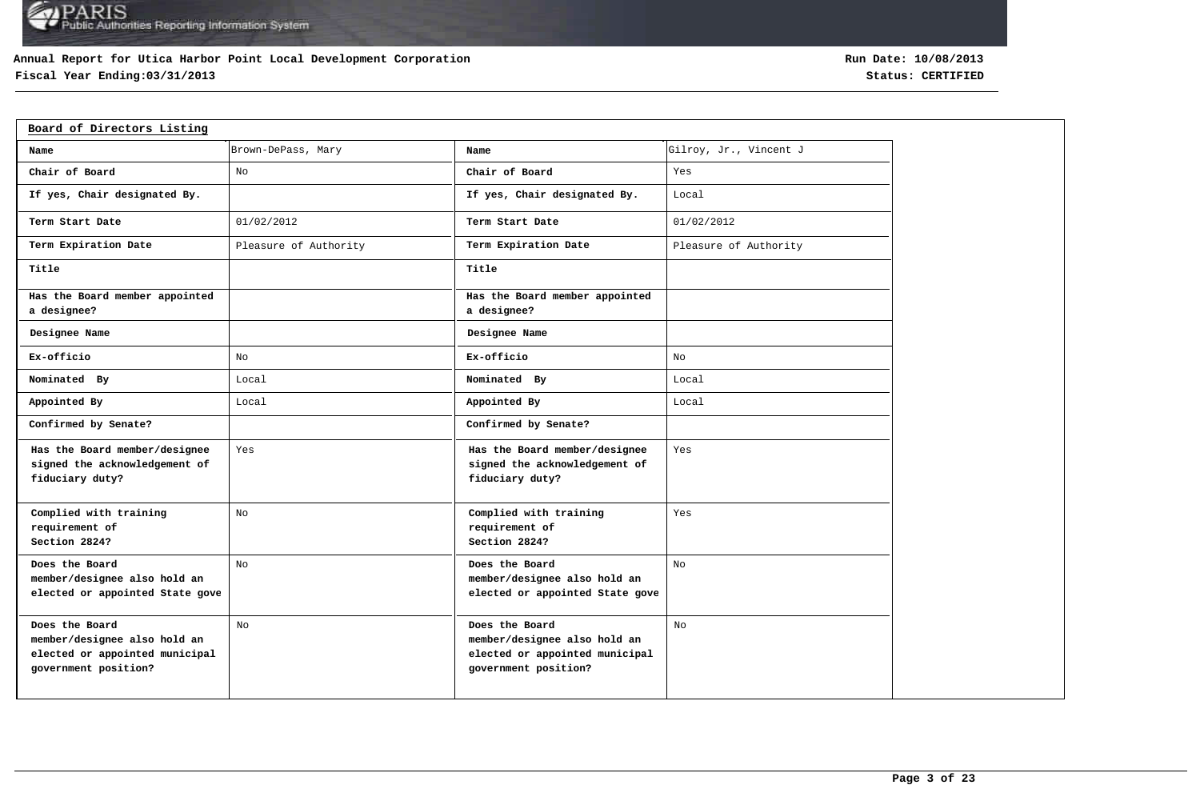### **Annual Report for Utica Harbor Point Local Development Corporation**

## **Fiscal Year Ending:03/31/2013 Status: CERTIFIED**

| Board of Directors Listing                                                                               |                       |                                                                                                          |                        |
|----------------------------------------------------------------------------------------------------------|-----------------------|----------------------------------------------------------------------------------------------------------|------------------------|
| Name                                                                                                     | Brown-DePass, Mary    | Name                                                                                                     | Gilroy, Jr., Vincent J |
| Chair of Board                                                                                           | No                    | Chair of Board                                                                                           | Yes                    |
| If yes, Chair designated By.                                                                             |                       | If yes, Chair designated By.                                                                             | Local                  |
| Term Start Date                                                                                          | 01/02/2012            | Term Start Date                                                                                          | 01/02/2012             |
| Term Expiration Date                                                                                     | Pleasure of Authority | Term Expiration Date                                                                                     | Pleasure of Authority  |
| Title                                                                                                    |                       | Title                                                                                                    |                        |
| Has the Board member appointed<br>a designee?                                                            |                       | Has the Board member appointed<br>a designee?                                                            |                        |
| Designee Name                                                                                            |                       | Designee Name                                                                                            |                        |
| Ex-officio                                                                                               | No                    | Ex-officio                                                                                               | No                     |
| Nominated By                                                                                             | Local                 | Nominated By                                                                                             | Local                  |
| Appointed By                                                                                             | Local                 | Appointed By                                                                                             | Local                  |
| Confirmed by Senate?                                                                                     |                       | Confirmed by Senate?                                                                                     |                        |
| Has the Board member/designee<br>signed the acknowledgement of<br>fiduciary duty?                        | Yes                   | Has the Board member/designee<br>signed the acknowledgement of<br>fiduciary duty?                        | Yes                    |
| Complied with training<br>requirement of<br>Section 2824?                                                | No                    | Complied with training<br>requirement of<br>Section 2824?                                                | Yes                    |
| Does the Board<br>member/designee also hold an<br>elected or appointed State gove                        | No                    | Does the Board<br>member/designee also hold an<br>elected or appointed State gove                        | No                     |
| Does the Board<br>member/designee also hold an<br>elected or appointed municipal<br>government position? | No                    | Does the Board<br>member/designee also hold an<br>elected or appointed municipal<br>government position? | No                     |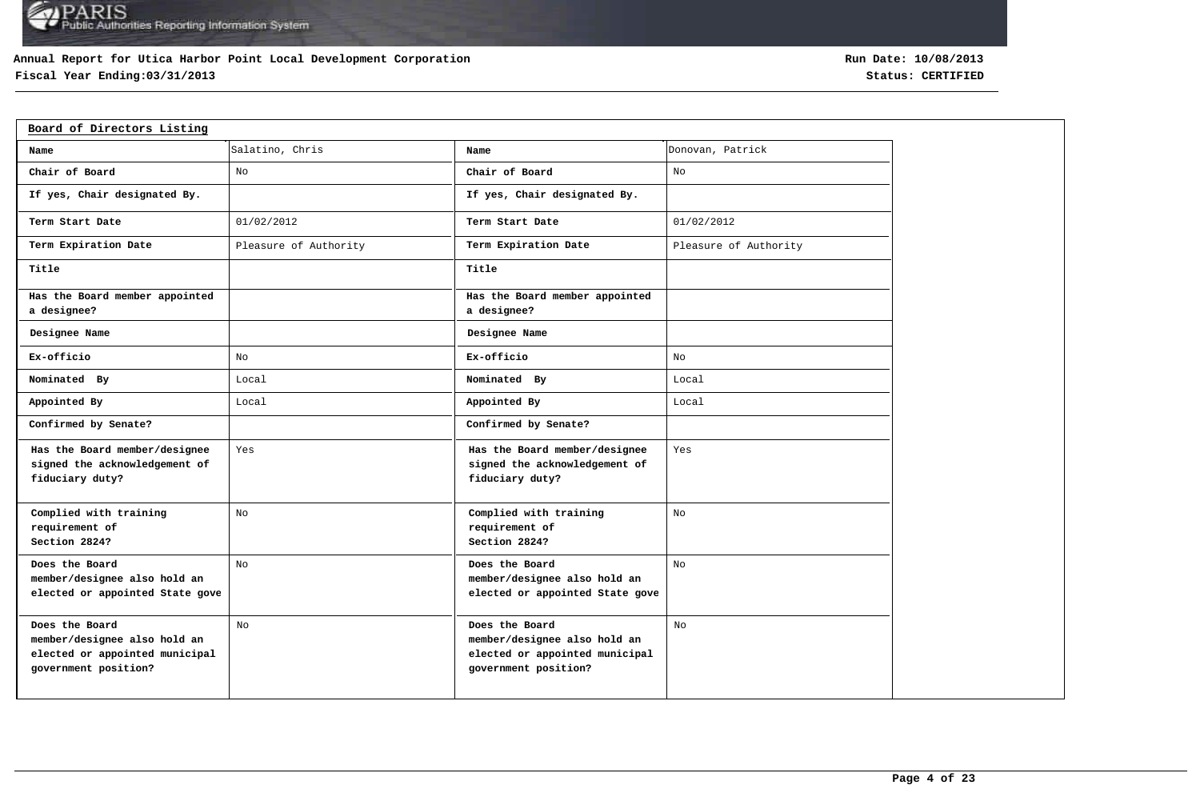### **Annual Report for Utica Harbor Point Local Development Corporation**

## **Fiscal Year Ending:03/31/2013 Status: CERTIFIED**

| Board of Directors Listing                                                                               |                       |                                                                                                          |                       |
|----------------------------------------------------------------------------------------------------------|-----------------------|----------------------------------------------------------------------------------------------------------|-----------------------|
| Name                                                                                                     | Salatino, Chris       | Name                                                                                                     | Donovan, Patrick      |
| Chair of Board                                                                                           | No                    | Chair of Board                                                                                           | No                    |
| If yes, Chair designated By.                                                                             |                       | If yes, Chair designated By.                                                                             |                       |
| Term Start Date                                                                                          | 01/02/2012            | Term Start Date                                                                                          | 01/02/2012            |
| Term Expiration Date                                                                                     | Pleasure of Authority | Term Expiration Date                                                                                     | Pleasure of Authority |
| Title                                                                                                    |                       | Title                                                                                                    |                       |
| Has the Board member appointed<br>a designee?                                                            |                       | Has the Board member appointed<br>a designee?                                                            |                       |
| Designee Name                                                                                            |                       | Designee Name                                                                                            |                       |
| Ex-officio                                                                                               | No                    | Ex-officio                                                                                               | No                    |
| Nominated By                                                                                             | Local                 | Nominated By                                                                                             | Local                 |
| Appointed By                                                                                             | Local                 | Appointed By                                                                                             | Local                 |
| Confirmed by Senate?                                                                                     |                       | Confirmed by Senate?                                                                                     |                       |
| Has the Board member/designee<br>signed the acknowledgement of<br>fiduciary duty?                        | Yes                   | Has the Board member/designee<br>signed the acknowledgement of<br>fiduciary duty?                        | Yes                   |
| Complied with training<br>requirement of<br>Section 2824?                                                | No                    | Complied with training<br>requirement of<br>Section 2824?                                                | No                    |
| Does the Board<br>member/designee also hold an<br>elected or appointed State gove                        | No                    | Does the Board<br>member/designee also hold an<br>elected or appointed State gove                        | No                    |
| Does the Board<br>member/designee also hold an<br>elected or appointed municipal<br>government position? | No                    | Does the Board<br>member/designee also hold an<br>elected or appointed municipal<br>government position? | No                    |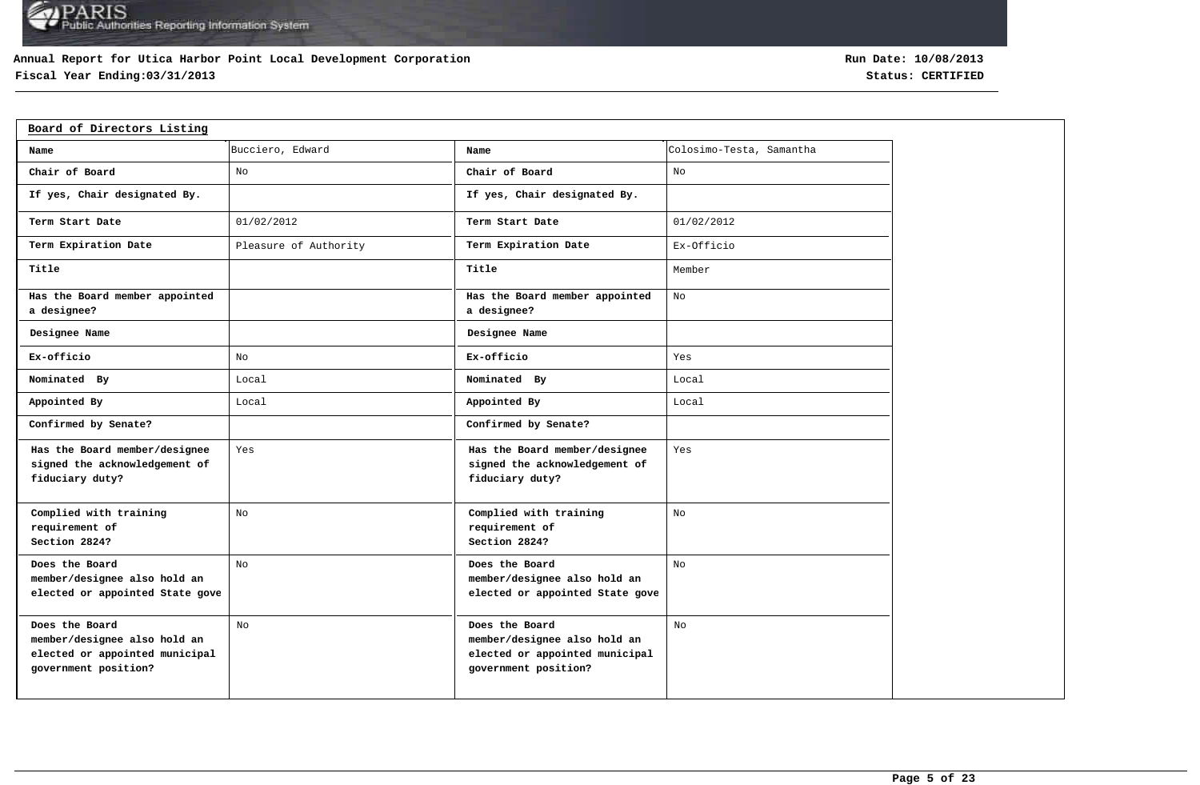### **Annual Report for Utica Harbor Point Local Development Corporation**

## **Fiscal Year Ending:03/31/2013 Status: CERTIFIED**

| Board of Directors Listing                                                                               |                       |                                                                                                          |                          |
|----------------------------------------------------------------------------------------------------------|-----------------------|----------------------------------------------------------------------------------------------------------|--------------------------|
| Name                                                                                                     | Bucciero, Edward      | Name                                                                                                     | Colosimo-Testa, Samantha |
| Chair of Board                                                                                           | No                    | Chair of Board                                                                                           | No                       |
| If yes, Chair designated By.                                                                             |                       | If yes, Chair designated By.                                                                             |                          |
| Term Start Date                                                                                          | 01/02/2012            | Term Start Date                                                                                          | 01/02/2012               |
| Term Expiration Date                                                                                     | Pleasure of Authority | Term Expiration Date                                                                                     | Ex-Officio               |
| Title                                                                                                    |                       | Title                                                                                                    | Member                   |
| Has the Board member appointed<br>a designee?                                                            |                       | Has the Board member appointed<br>a designee?                                                            | No                       |
| Designee Name                                                                                            |                       | Designee Name                                                                                            |                          |
| Ex-officio                                                                                               | No                    | Ex-officio                                                                                               | Yes                      |
| Nominated By                                                                                             | Local                 | Nominated By                                                                                             | Local                    |
| Appointed By                                                                                             | Local                 | Appointed By                                                                                             | Local                    |
| Confirmed by Senate?                                                                                     |                       | Confirmed by Senate?                                                                                     |                          |
| Has the Board member/designee<br>signed the acknowledgement of<br>fiduciary duty?                        | Yes                   | Has the Board member/designee<br>signed the acknowledgement of<br>fiduciary duty?                        | Yes                      |
| Complied with training<br>requirement of<br>Section 2824?                                                | No                    | Complied with training<br>requirement of<br>Section 2824?                                                | No                       |
| Does the Board<br>member/designee also hold an<br>elected or appointed State gove                        | No                    | Does the Board<br>member/designee also hold an<br>elected or appointed State gove                        | No                       |
| Does the Board<br>member/designee also hold an<br>elected or appointed municipal<br>government position? | No                    | Does the Board<br>member/designee also hold an<br>elected or appointed municipal<br>government position? | No                       |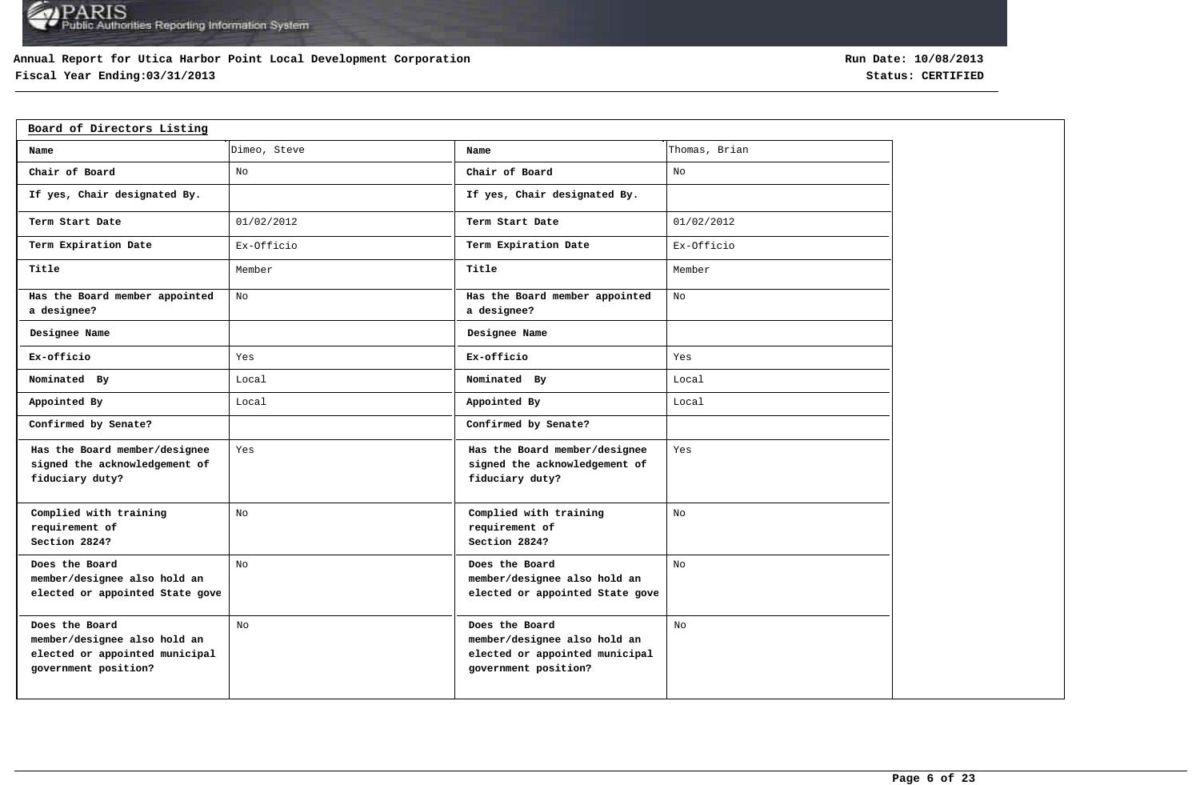### **Annual Report for Utica Harbor Point Local Development Corporation**

## **Fiscal Year Ending:03/31/2013 Status: CERTIFIED**

| Board of Directors Listing                                                                               |              |                                                                                                          |               |
|----------------------------------------------------------------------------------------------------------|--------------|----------------------------------------------------------------------------------------------------------|---------------|
| Name                                                                                                     | Dimeo, Steve | Name                                                                                                     | Thomas, Brian |
| Chair of Board                                                                                           | No           | Chair of Board                                                                                           | No            |
| If yes, Chair designated By.                                                                             |              | If yes, Chair designated By.                                                                             |               |
| Term Start Date                                                                                          | 01/02/2012   | Term Start Date                                                                                          | 01/02/2012    |
| Term Expiration Date                                                                                     | Ex-Officio   | Term Expiration Date                                                                                     | Ex-Officio    |
| Title                                                                                                    | Member       | Title                                                                                                    | Member        |
| Has the Board member appointed<br>a designee?                                                            | No           | Has the Board member appointed<br>a designee?                                                            | No            |
| Designee Name                                                                                            |              | Designee Name                                                                                            |               |
| Ex-officio                                                                                               | Yes          | Ex-officio                                                                                               | Yes           |
| Nominated By                                                                                             | Local        | Nominated By                                                                                             | Local         |
| Appointed By                                                                                             | Local        | Appointed By                                                                                             | Local         |
| Confirmed by Senate?                                                                                     |              | Confirmed by Senate?                                                                                     |               |
| Has the Board member/designee<br>signed the acknowledgement of<br>fiduciary duty?                        | Yes          | Has the Board member/designee<br>signed the acknowledgement of<br>fiduciary duty?                        | Yes           |
| Complied with training<br>requirement of<br>Section 2824?                                                | No           | Complied with training<br>requirement of<br>Section 2824?                                                | No            |
| Does the Board<br>member/designee also hold an<br>elected or appointed State gove                        | No           | Does the Board<br>member/designee also hold an<br>elected or appointed State gove                        | No            |
| Does the Board<br>member/designee also hold an<br>elected or appointed municipal<br>government position? | No           | Does the Board<br>member/designee also hold an<br>elected or appointed municipal<br>government position? | No            |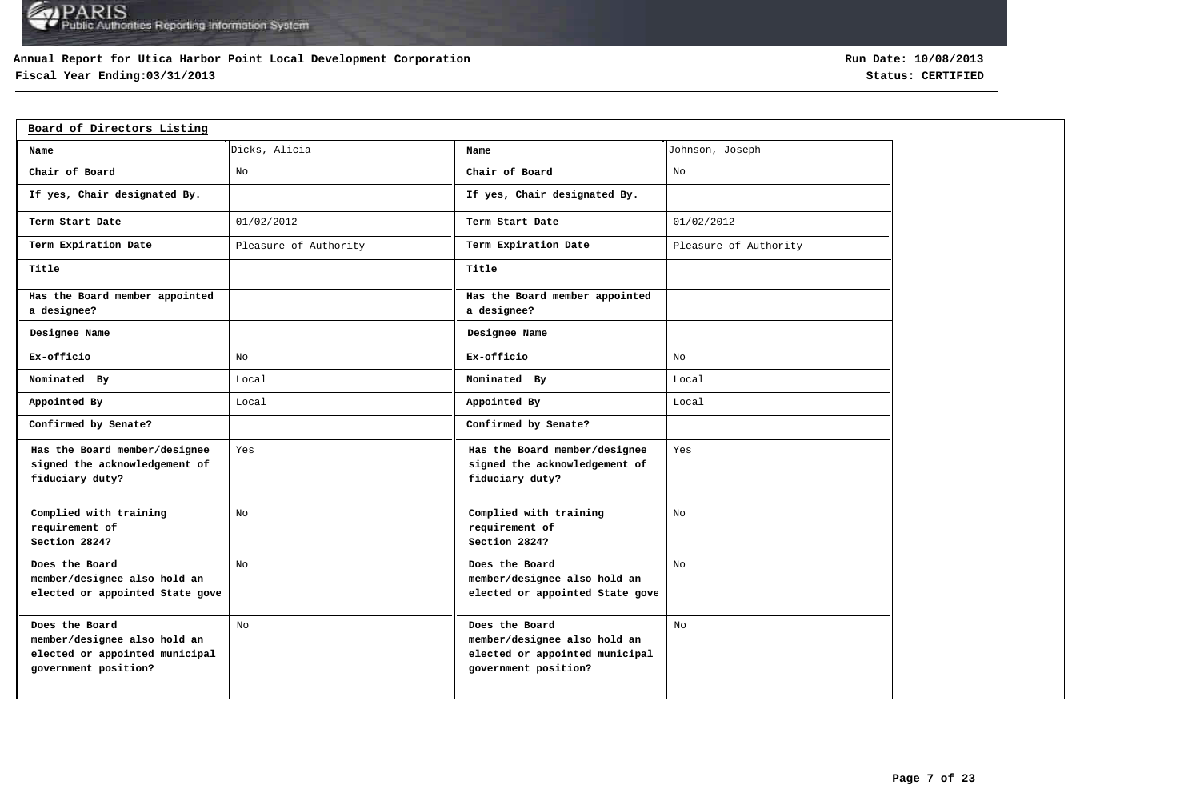### **Annual Report for Utica Harbor Point Local Development Corporation**

## **Fiscal Year Ending:03/31/2013 Status: CERTIFIED**

| Board of Directors Listing                                                                               |                       |                                                                                                          |                       |
|----------------------------------------------------------------------------------------------------------|-----------------------|----------------------------------------------------------------------------------------------------------|-----------------------|
| Name                                                                                                     | Dicks, Alicia         | Name                                                                                                     | Johnson, Joseph       |
| Chair of Board                                                                                           | No                    | Chair of Board                                                                                           | No                    |
| If yes, Chair designated By.                                                                             |                       | If yes, Chair designated By.                                                                             |                       |
| Term Start Date                                                                                          | 01/02/2012            | Term Start Date                                                                                          | 01/02/2012            |
| Term Expiration Date                                                                                     | Pleasure of Authority | Term Expiration Date                                                                                     | Pleasure of Authority |
| Title                                                                                                    |                       | Title                                                                                                    |                       |
| Has the Board member appointed<br>a designee?                                                            |                       | Has the Board member appointed<br>a designee?                                                            |                       |
| Designee Name                                                                                            |                       | Designee Name                                                                                            |                       |
| Ex-officio                                                                                               | No                    | Ex-officio                                                                                               | No                    |
| Nominated By                                                                                             | Local                 | Nominated By                                                                                             | Local                 |
| Appointed By                                                                                             | Local                 | Appointed By                                                                                             | Local                 |
| Confirmed by Senate?                                                                                     |                       | Confirmed by Senate?                                                                                     |                       |
| Has the Board member/designee<br>signed the acknowledgement of<br>fiduciary duty?                        | Yes                   | Has the Board member/designee<br>signed the acknowledgement of<br>fiduciary duty?                        | Yes                   |
| Complied with training<br>requirement of<br>Section 2824?                                                | No                    | Complied with training<br>requirement of<br>Section 2824?                                                | No                    |
| Does the Board<br>member/designee also hold an<br>elected or appointed State gove                        | No                    | Does the Board<br>member/designee also hold an<br>elected or appointed State gove                        | No                    |
| Does the Board<br>member/designee also hold an<br>elected or appointed municipal<br>government position? | No                    | Does the Board<br>member/designee also hold an<br>elected or appointed municipal<br>government position? | No                    |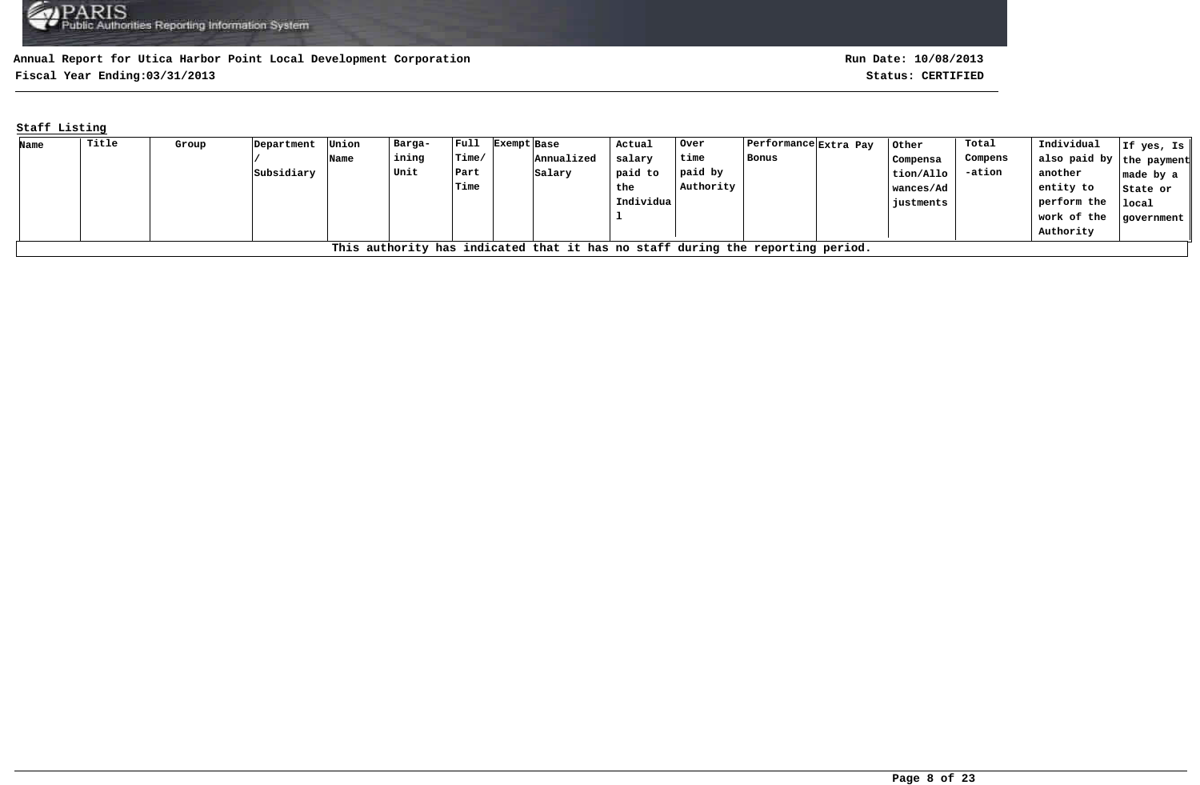**Fiscal Year Ending:03/31/2013 Status: CERTIFIED**

### **Staff Listing**

| Name | Title                                                                          | Group | Department | Union | Barga- | $ $ Full        | Exempt Base |            | Actual    | Over      | Performance Extra Pay | Other     | Total    | Individual               | If yes, Is $\parallel$ |
|------|--------------------------------------------------------------------------------|-------|------------|-------|--------|-----------------|-------------|------------|-----------|-----------|-----------------------|-----------|----------|--------------------------|------------------------|
|      |                                                                                |       |            | Name  | ining  | $l$ Time $\ell$ |             | Annualized | salary    | time      | Bonus                 | Compensa  | Compens  | also paid by the payment |                        |
|      |                                                                                |       | Subsidiary |       | Unit   | Part            |             | Salary     | paid to   | paid by   |                       | tion/Allo | $-ation$ | another                  | $ $ made by a $ $      |
|      |                                                                                |       |            |       |        | Time            |             |            | the       | Authority |                       | wances/Ad |          | entity to                | State or               |
|      |                                                                                |       |            |       |        |                 |             |            | Individua |           |                       | iustments |          | perform the              | local                  |
|      |                                                                                |       |            |       |        |                 |             |            |           |           |                       |           |          | work of the              | qovernment             |
|      |                                                                                |       |            |       |        |                 |             |            |           |           |                       |           |          | Authority                |                        |
|      | This authority has indicated that it has no staff during the reporting period. |       |            |       |        |                 |             |            |           |           |                       |           |          |                          |                        |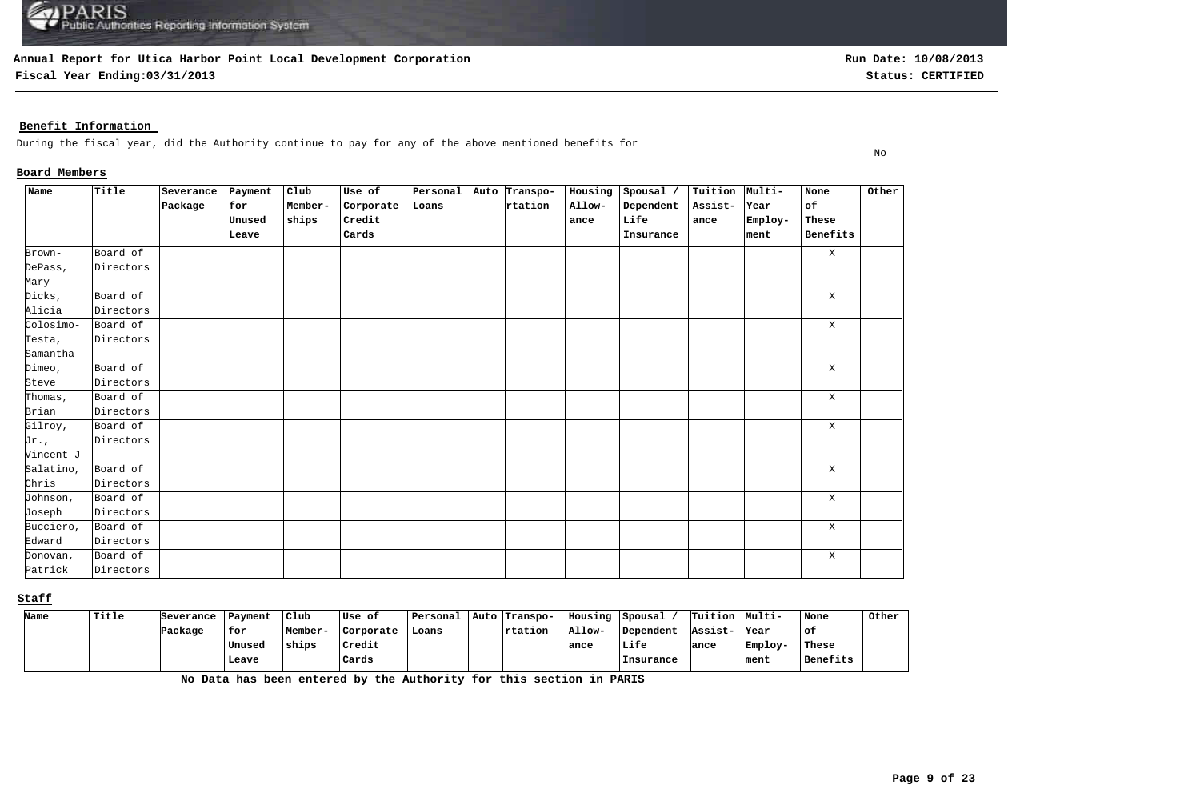**Fiscal Year Ending:03/31/2013 Status: CERTIFIED**

### **Benefit Information**

During the fiscal year, did the Authority continue to pay for any of the above mentioned benefits for

### **Board Members**

| Name      | Title     | Severance | Payment | Club    | Use of    | Personal | Auto Transpo- | Housing | Spousal / | Tuition Multi- |         | None        | Other |
|-----------|-----------|-----------|---------|---------|-----------|----------|---------------|---------|-----------|----------------|---------|-------------|-------|
|           |           | Package   | for     | Member- | Corporate | Loans    | rtation       | Allow-  | Dependent | Assist-        | Year    | of          |       |
|           |           |           | Unused  | ships   | Credit    |          |               | ance    | Life      | ance           | Employ- | These       |       |
|           |           |           | Leave   |         | Cards     |          |               |         | Insurance |                | ment    | Benefits    |       |
| Brown-    | Board of  |           |         |         |           |          |               |         |           |                |         | $\mathbf X$ |       |
| DePass,   | Directors |           |         |         |           |          |               |         |           |                |         |             |       |
| Mary      |           |           |         |         |           |          |               |         |           |                |         |             |       |
| Dicks,    | Board of  |           |         |         |           |          |               |         |           |                |         | $\mathbf X$ |       |
| Alicia    | Directors |           |         |         |           |          |               |         |           |                |         |             |       |
| Colosimo- | Board of  |           |         |         |           |          |               |         |           |                |         | $\mathbf X$ |       |
| Testa,    | Directors |           |         |         |           |          |               |         |           |                |         |             |       |
| Samantha  |           |           |         |         |           |          |               |         |           |                |         |             |       |
| Dimeo,    | Board of  |           |         |         |           |          |               |         |           |                |         | X           |       |
| Steve     | Directors |           |         |         |           |          |               |         |           |                |         |             |       |
| Thomas,   | Board of  |           |         |         |           |          |               |         |           |                |         | X           |       |
| Brian     | Directors |           |         |         |           |          |               |         |           |                |         |             |       |
| Gilroy,   | Board of  |           |         |         |           |          |               |         |           |                |         | X           |       |
| Jr.,      | Directors |           |         |         |           |          |               |         |           |                |         |             |       |
| Vincent J |           |           |         |         |           |          |               |         |           |                |         |             |       |
| Salatino, | Board of  |           |         |         |           |          |               |         |           |                |         | Χ           |       |
| Chris     | Directors |           |         |         |           |          |               |         |           |                |         |             |       |
| Johnson,  | Board of  |           |         |         |           |          |               |         |           |                |         | $\mathbf X$ |       |
| Joseph    | Directors |           |         |         |           |          |               |         |           |                |         |             |       |
| Bucciero, | Board of  |           |         |         |           |          |               |         |           |                |         | X           |       |
| Edward    | Directors |           |         |         |           |          |               |         |           |                |         |             |       |
| Donovan,  | Board of  |           |         |         |           |          |               |         |           |                |         | $\mathbf X$ |       |
| Patrick   | Directors |           |         |         |           |          |               |         |           |                |         |             |       |

#### **Staff**

| Name | Title | Severance | Payment | Club    | Use of    | Personal | Auto Transpo-   | Housing | Spousal   | Tuition Multi- |         | None     | Other |
|------|-------|-----------|---------|---------|-----------|----------|-----------------|---------|-----------|----------------|---------|----------|-------|
|      |       | Package   | for     | Member- | Corporate | Loans    | <b>Trtation</b> | Allow-  | Dependent | Assist-        | Year    | of.      |       |
|      |       |           | Unused  | ships   | Credit    |          |                 | ance    | Life      | lance          | Employ- | These    |       |
|      |       |           | Leave   |         | Cards     |          |                 |         | Insurance |                | ment    | Benefits |       |

**No Data has been entered by the Authority for this section in PARIS**

No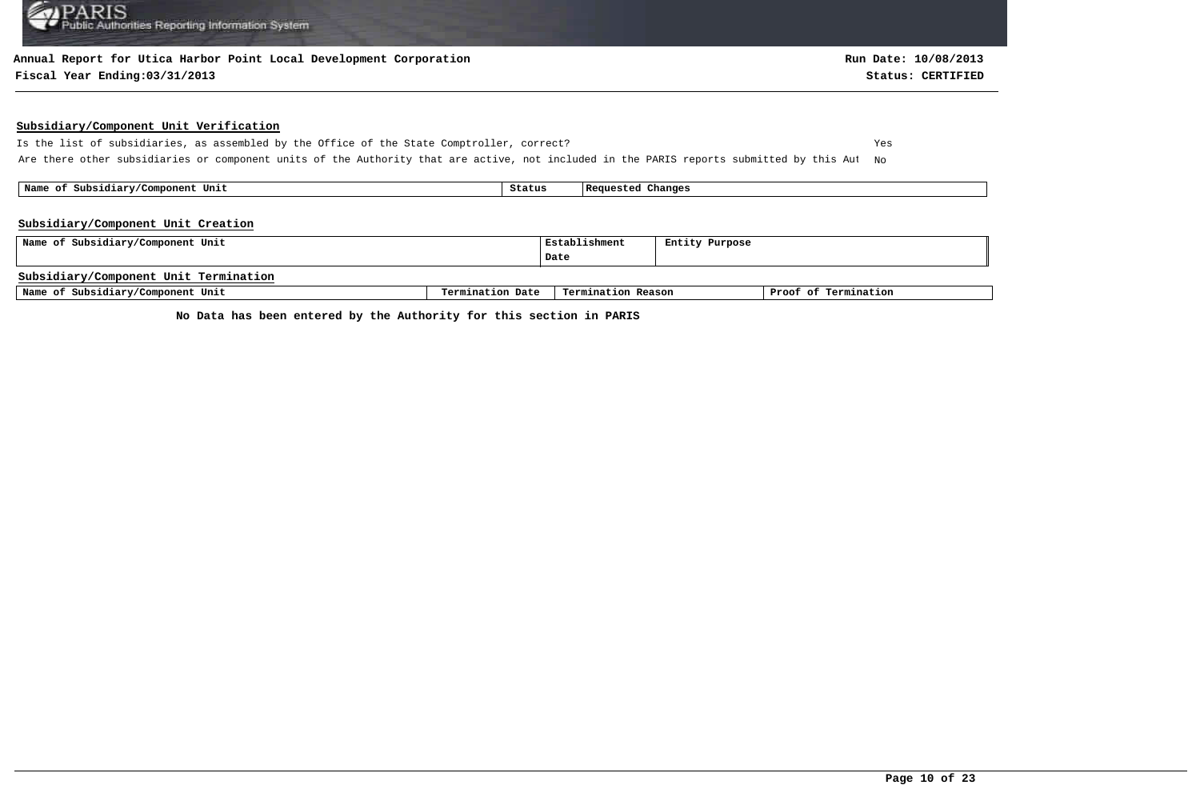#### **Annual Report for Utica Harbor Point Local Development Corporation**

#### **Fiscal Year Ending:03/31/2013 Status: CERTIFIED**

#### **Subsidiary/Component Unit Verification**

Is the list of subsidiaries, as assembled by the Office of the State Comptroller, correct? Yes Are there other subsidiaries or component units of the Authority that are active, not included in the PARIS reports submitted by this Aut No

 **Name of Subsidiary/Component Unit Status Requested Changes** 

#### **Subsidiary/Component Unit Creation**

| Name of Subsidiary/Component Unit     |                  | Establishment      | Entity Purpose |                      |
|---------------------------------------|------------------|--------------------|----------------|----------------------|
|                                       |                  | Date               |                |                      |
| Subsidiary/Component Unit Termination |                  |                    |                |                      |
| Name of Subsidiary/Component Unit     | Termination Date | Termination Reason |                | Proof of Termination |

**No Data has been entered by the Authority for this section in PARIS**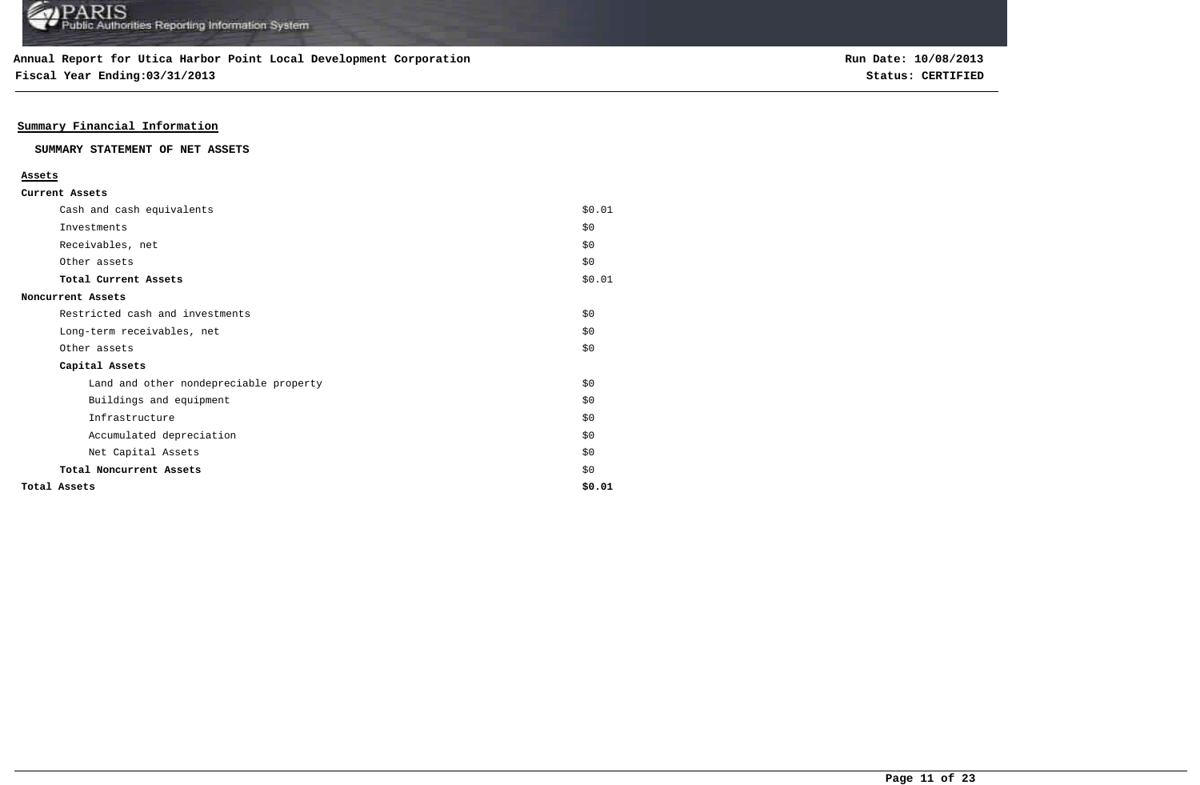**Fiscal Year Ending:03/31/2013 Status: CERTIFIED**

### **Summary Financial Information**

#### **SUMMARY STATEMENT OF NET ASSETS**

#### **Assets**

| Cash and cash equivalents              | \$0.01 |
|----------------------------------------|--------|
| Investments                            | \$0    |
| Receivables, net                       | \$0\$  |
| Other assets                           | \$0\$  |
| Total Current Assets                   | \$0.01 |
| Noncurrent Assets                      |        |
| Restricted cash and investments        | \$0    |
| Long-term receivables, net             | \$0    |
| Other assets                           | \$0    |
| Capital Assets                         |        |
| Land and other nondepreciable property | \$0    |
| Buildings and equipment                | \$0    |
| Infrastructure                         | \$0    |
| Accumulated depreciation               | \$0    |
| Net Capital Assets                     | \$0    |
| Total Noncurrent Assets                | \$0    |
| Total Assets                           | \$0.01 |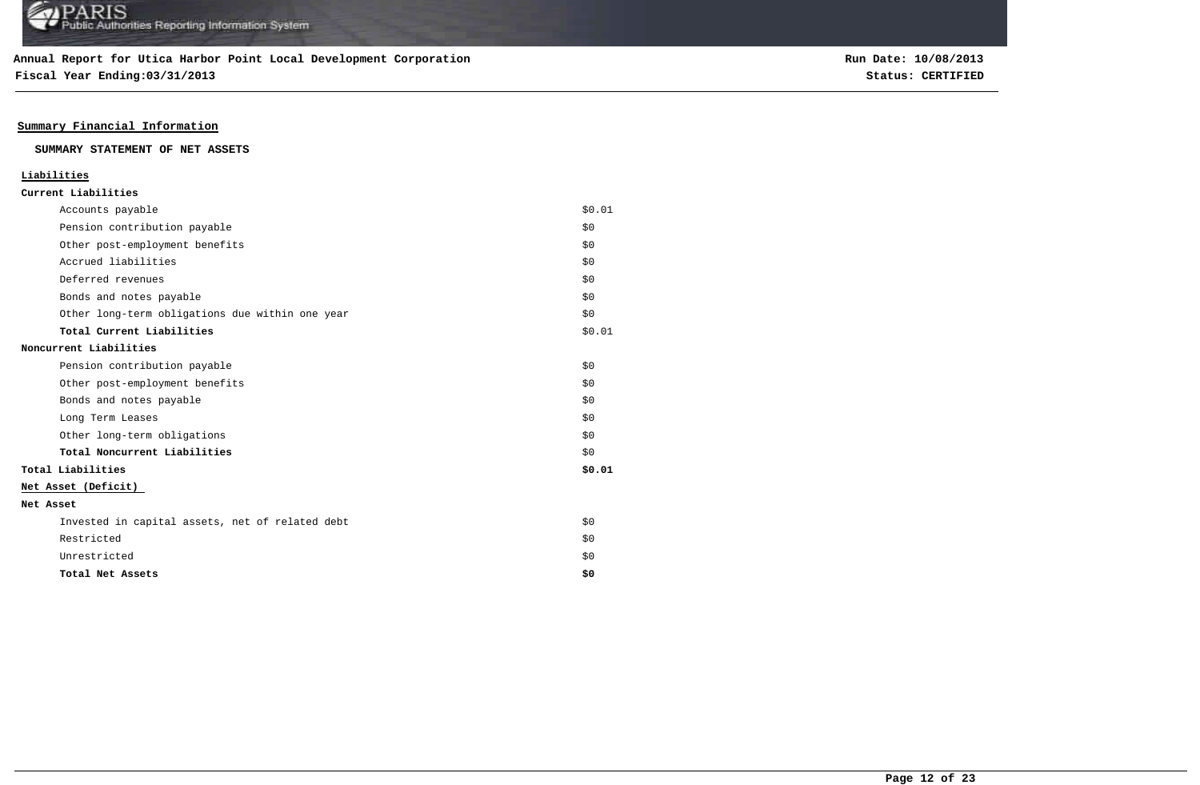**Fiscal Year Ending:03/31/2013 Status: CERTIFIED**

### **Summary Financial Information**

#### **SUMMARY STATEMENT OF NET ASSETS**

## **Liabilities**

|  | Current Liabilities |
|--|---------------------|
|--|---------------------|

|           | Accounts payable                                | \$0.01 |
|-----------|-------------------------------------------------|--------|
|           | Pension contribution payable                    | \$0    |
|           | Other post-employment benefits                  | \$0    |
|           | Accrued liabilities                             | \$0    |
|           | Deferred revenues                               | \$0    |
|           | Bonds and notes payable                         | \$0    |
|           | Other long-term obligations due within one year | \$0    |
|           | Total Current Liabilities                       | \$0.01 |
|           | Noncurrent Liabilities                          |        |
|           | Pension contribution payable                    | \$0    |
|           | Other post-employment benefits                  | \$0    |
|           | Bonds and notes payable                         | \$0    |
|           | Long Term Leases                                | \$0    |
|           | Other long-term obligations                     | \$0    |
|           | Total Noncurrent Liabilities                    | \$0    |
|           | Total Liabilities                               | \$0.01 |
|           | Net Asset (Deficit)                             |        |
| Net Asset |                                                 |        |
|           | Invested in capital assets, net of related debt | \$0    |
|           | Restricted                                      | \$0    |
|           | Unrestricted                                    | \$0    |
|           | Total Net Assets                                | \$0    |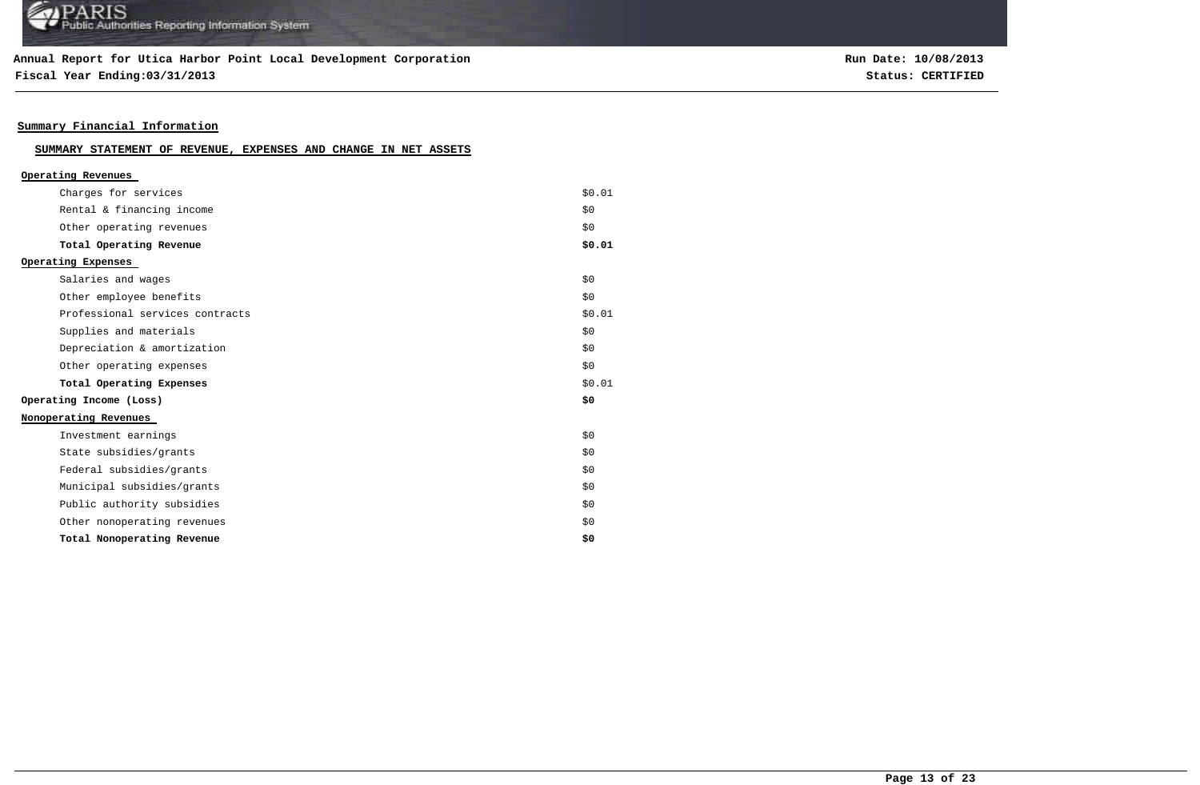### **Annual Report for Utica Harbor Point Local Development Corporation**

**Fiscal Year Ending:03/31/2013 Status: CERTIFIED**

**Run Date: 10/08/2013**

### **Summary Financial Information**

## **SUMMARY STATEMENT OF REVENUE, EXPENSES AND CHANGE IN NET ASSETS**

| Operating Revenues              |        |
|---------------------------------|--------|
| Charges for services            | \$0.01 |
| Rental & financing income       | \$0    |
| Other operating revenues        | \$0    |
| Total Operating Revenue         | \$0.01 |
| Operating Expenses              |        |
| Salaries and wages              | \$0    |
| Other employee benefits         | \$0    |
| Professional services contracts | \$0.01 |
| Supplies and materials          | \$0    |
| Depreciation & amortization     | \$0    |
| Other operating expenses        | \$0    |
| Total Operating Expenses        | \$0.01 |
| Operating Income (Loss)         | \$0    |
| Nonoperating Revenues           |        |
| Investment earnings             | \$0    |
| State subsidies/grants          | \$0    |
| Federal subsidies/grants        | \$0    |
| Municipal subsidies/grants      | \$0    |
| Public authority subsidies      | \$0    |
| Other nonoperating revenues     | \$0    |
| Total Nonoperating Revenue      | \$0    |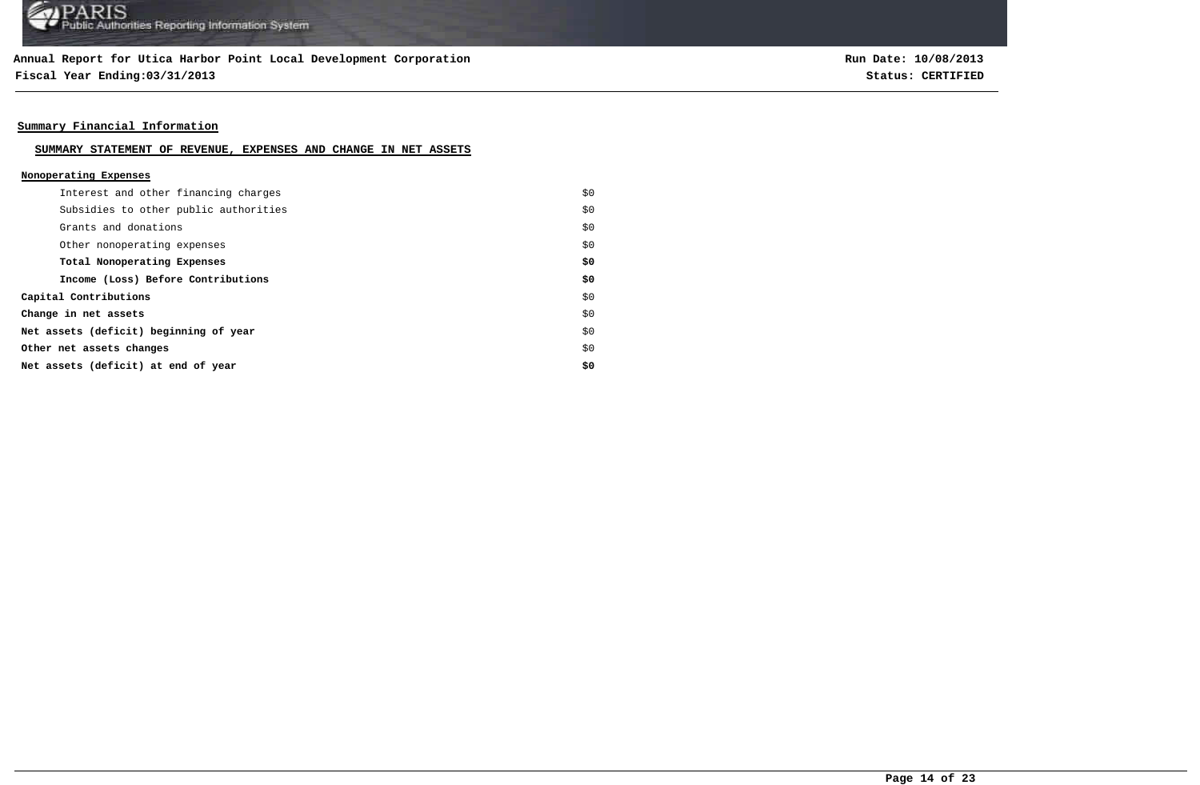**Fiscal Year Ending:03/31/2013 Status: CERTIFIED**

**Run Date: 10/08/2013**

### **Summary Financial Information**

#### **SUMMARY STATEMENT OF REVENUE, EXPENSES AND CHANGE IN NET ASSETS**

#### **Nonoperating Expenses**

| Interest and other financing charges   | \$0 |
|----------------------------------------|-----|
| Subsidies to other public authorities  | \$0 |
| Grants and donations                   | \$0 |
| Other nonoperating expenses            | \$0 |
| Total Nonoperating Expenses            | \$0 |
| Income (Loss) Before Contributions     | \$0 |
| Capital Contributions                  | \$0 |
| Change in net assets                   | \$0 |
| Net assets (deficit) beginning of year | \$0 |
| Other net assets changes               | \$0 |
| Net assets (deficit) at end of year    | \$0 |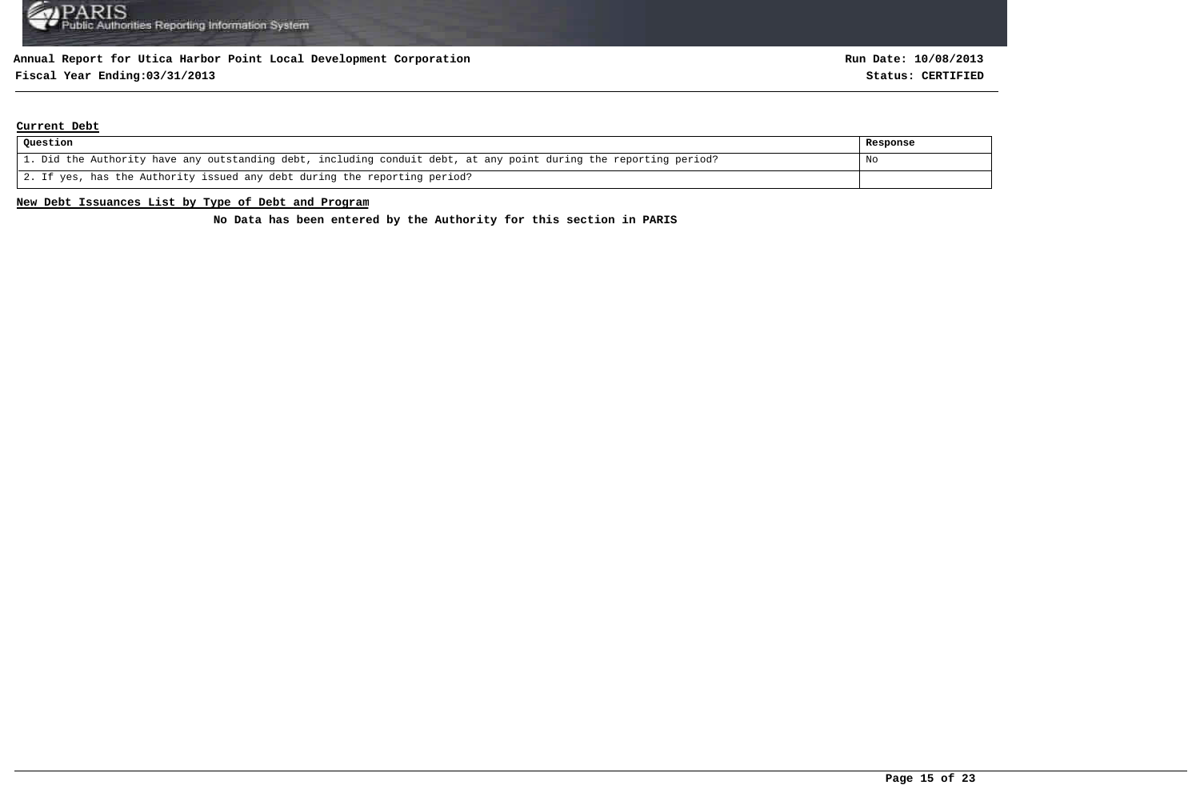## **Fiscal Year Ending:03/31/2013 Status: CERTIFIED**

#### **Current Debt**

| Question                                                                                                          | Response |
|-------------------------------------------------------------------------------------------------------------------|----------|
| 1. Did the Authority have any outstanding debt, including conduit debt, at any point during the reporting period? | No       |
| 2. If yes, has the Authority issued any debt during the reporting period?                                         |          |

#### **New Debt Issuances List by Type of Debt and Program**

**No Data has been entered by the Authority for this section in PARIS**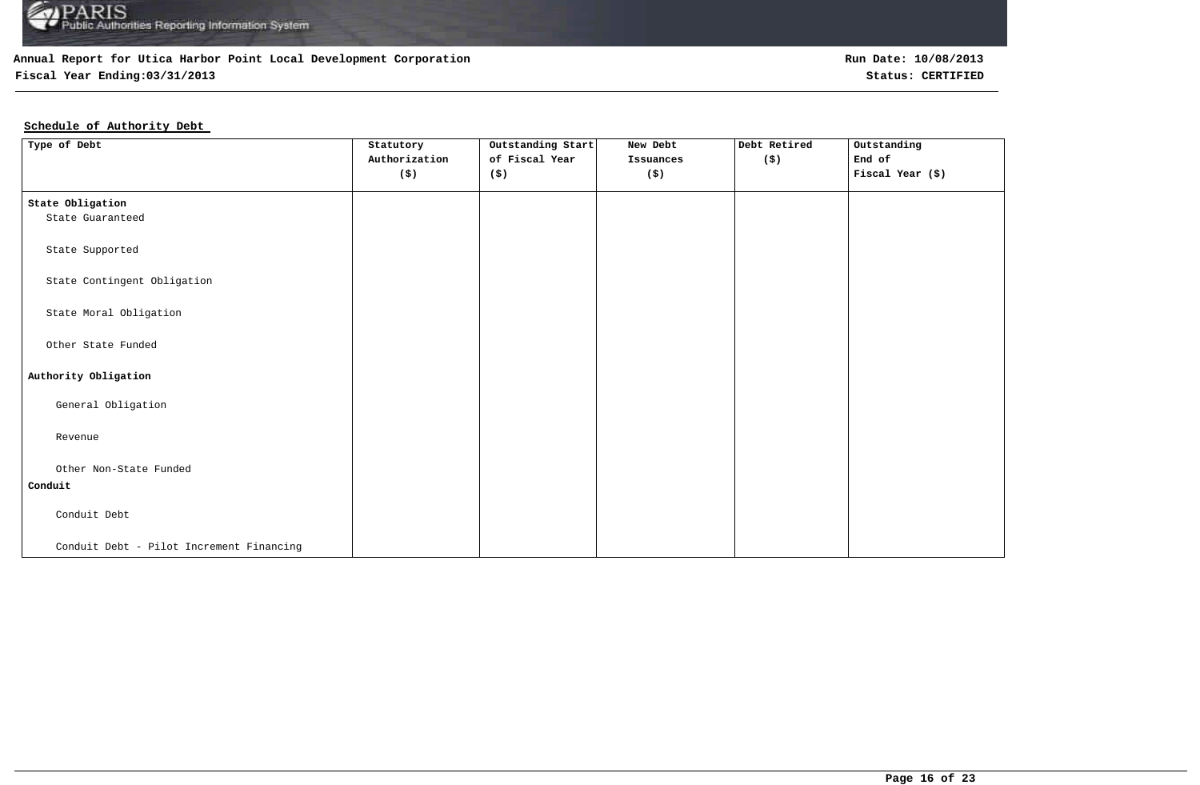

### **Fiscal Year Ending:03/31/2013 Status: CERTIFIED**

## **Schedule of Authority Debt**

| Type of Debt                             | Statutory<br>Authorization<br>$(\boldsymbol{\mathsf{S}})$ | Outstanding Start<br>of Fiscal Year<br>(\$) | New Debt<br>Issuances<br>$(\boldsymbol{\mathsf{S}})$ | Debt Retired<br>(\$) | Outstanding<br>End of<br>Fiscal Year (\$) |
|------------------------------------------|-----------------------------------------------------------|---------------------------------------------|------------------------------------------------------|----------------------|-------------------------------------------|
| State Obligation                         |                                                           |                                             |                                                      |                      |                                           |
| State Guaranteed                         |                                                           |                                             |                                                      |                      |                                           |
| State Supported                          |                                                           |                                             |                                                      |                      |                                           |
| State Contingent Obligation              |                                                           |                                             |                                                      |                      |                                           |
| State Moral Obligation                   |                                                           |                                             |                                                      |                      |                                           |
| Other State Funded                       |                                                           |                                             |                                                      |                      |                                           |
| Authority Obligation                     |                                                           |                                             |                                                      |                      |                                           |
| General Obligation                       |                                                           |                                             |                                                      |                      |                                           |
| Revenue                                  |                                                           |                                             |                                                      |                      |                                           |
| Other Non-State Funded                   |                                                           |                                             |                                                      |                      |                                           |
| Conduit                                  |                                                           |                                             |                                                      |                      |                                           |
| Conduit Debt                             |                                                           |                                             |                                                      |                      |                                           |
| Conduit Debt - Pilot Increment Financing |                                                           |                                             |                                                      |                      |                                           |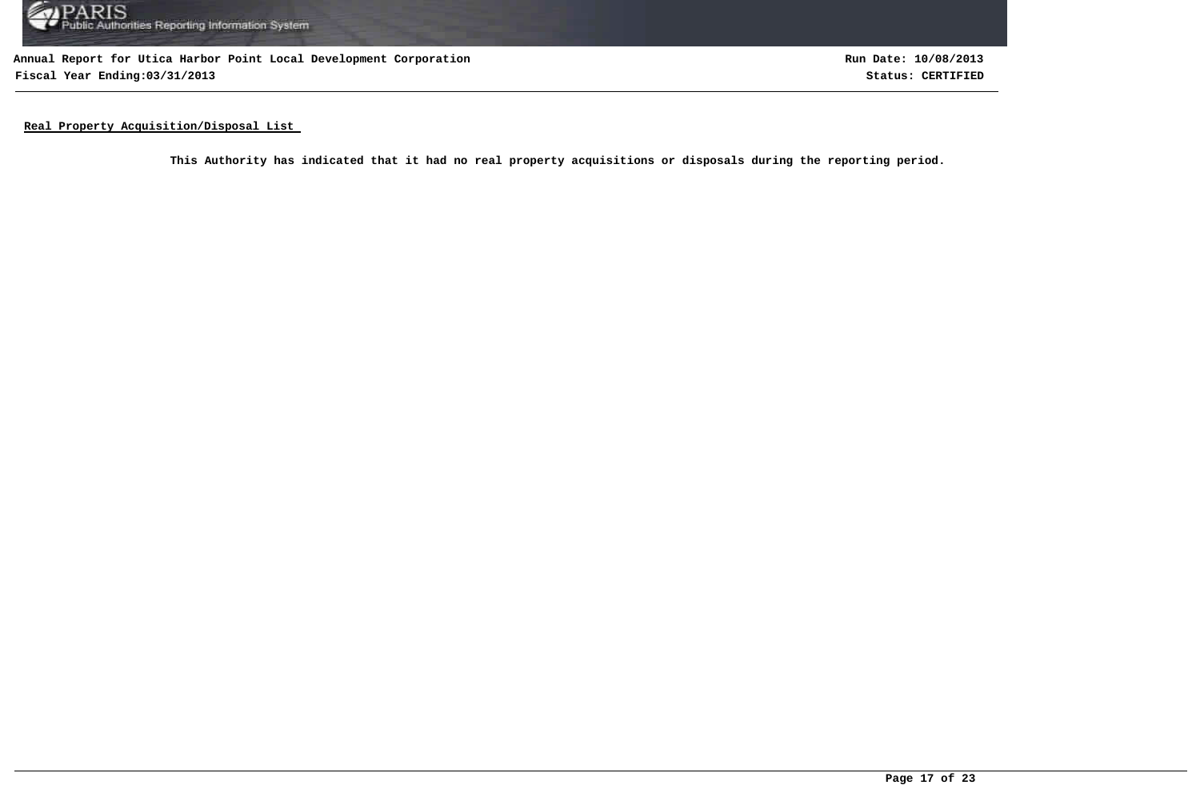

**Annual Report for Utica Harbor Point Local Development Corporation Fiscal Year Ending:03/31/2013 Status: CERTIFIED**

**Run Date: 10/08/2013**

**Real Property Acquisition/Disposal List** 

**This Authority has indicated that it had no real property acquisitions or disposals during the reporting period.**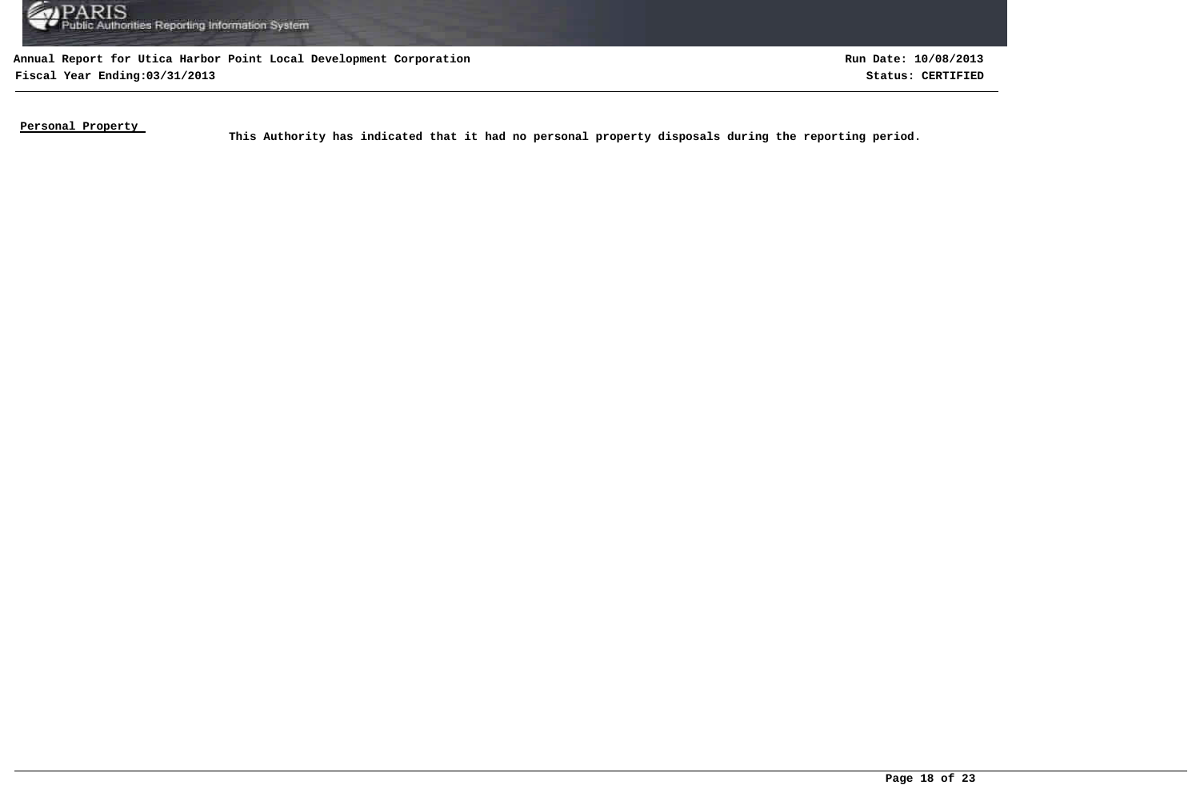

**Annual Report for Utica Harbor Point Local Development Corporation Fiscal Year Ending:03/31/2013 Status: CERTIFIED**

**Run Date: 10/08/2013**

**Personal Property** 

This Authority has indicated that it had no personal property disposals during the reporting period.<br>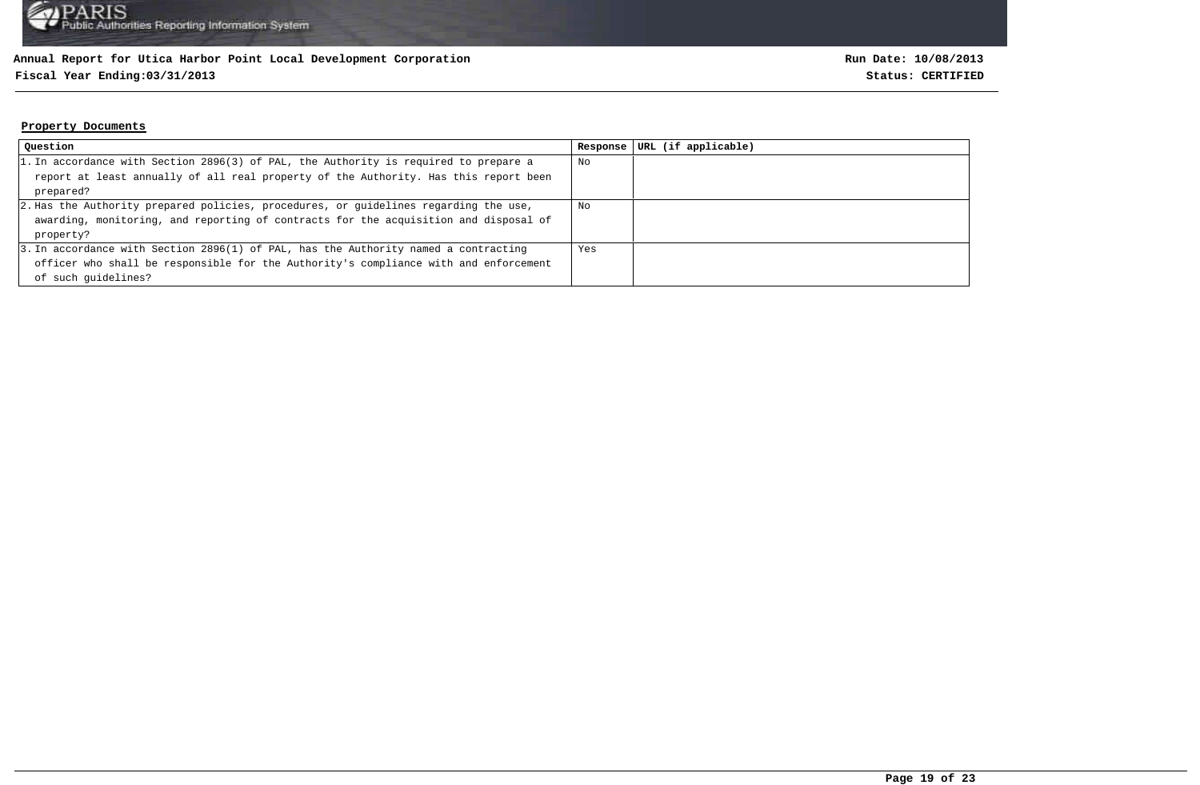### **Fiscal Year Ending:03/31/2013 Status: CERTIFIED**

#### **Property Documents**

| Question                                                                             | Response | URL (if applicable) |
|--------------------------------------------------------------------------------------|----------|---------------------|
| 1. In accordance with Section 2896(3) of PAL, the Authority is required to prepare a | No       |                     |
| report at least annually of all real property of the Authority. Has this report been |          |                     |
| prepared?                                                                            |          |                     |
| 2. Has the Authority prepared policies, procedures, or guidelines regarding the use, | No       |                     |
| awarding, monitoring, and reporting of contracts for the acquisition and disposal of |          |                     |
| property?                                                                            |          |                     |
| 3. In accordance with Section 2896(1) of PAL, has the Authority named a contracting  | Yes      |                     |
| officer who shall be responsible for the Authority's compliance with and enforcement |          |                     |
| of such quidelines?                                                                  |          |                     |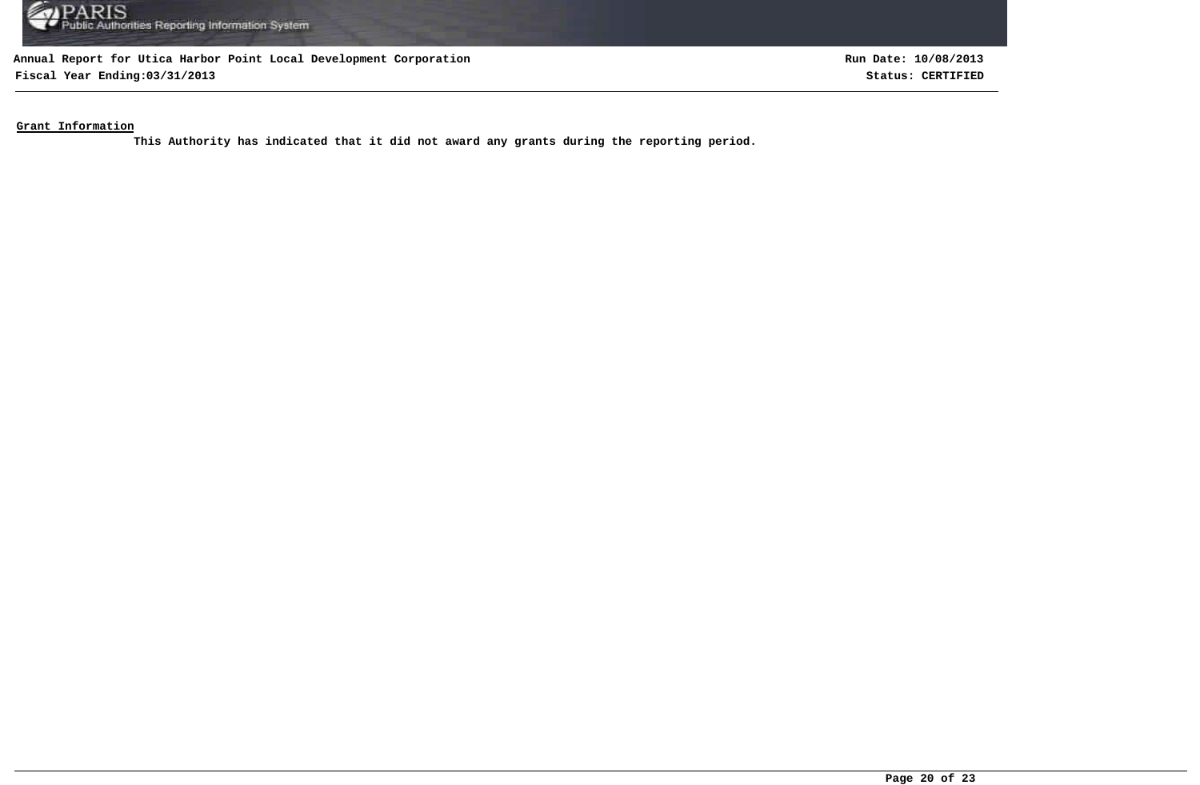

**Fiscal Year Ending:03/31/2013 Status: CERTIFIED**

**Run Date: 10/08/2013**

**Grant Information**

**This Authority has indicated that it did not award any grants during the reporting period.**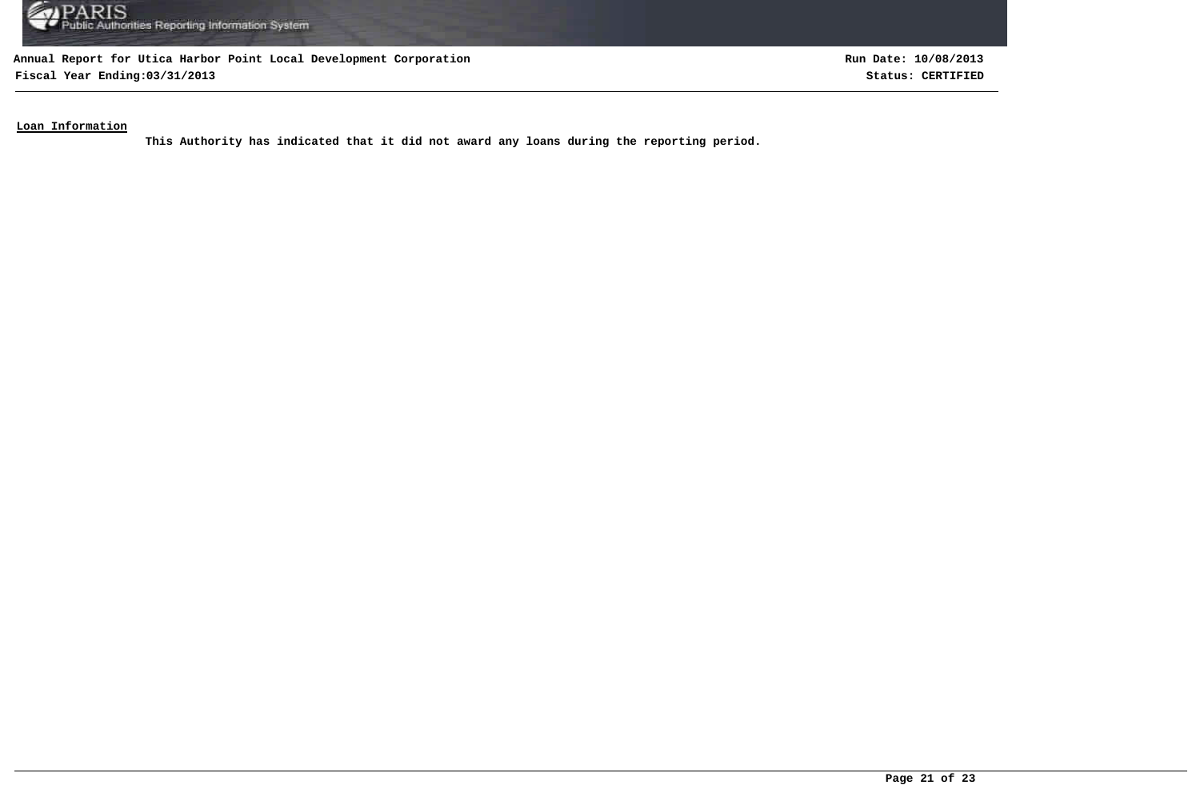

**Fiscal Year Ending:03/31/2013 Status: CERTIFIED**

**Run Date: 10/08/2013**

**Loan Information**

**This Authority has indicated that it did not award any loans during the reporting period.**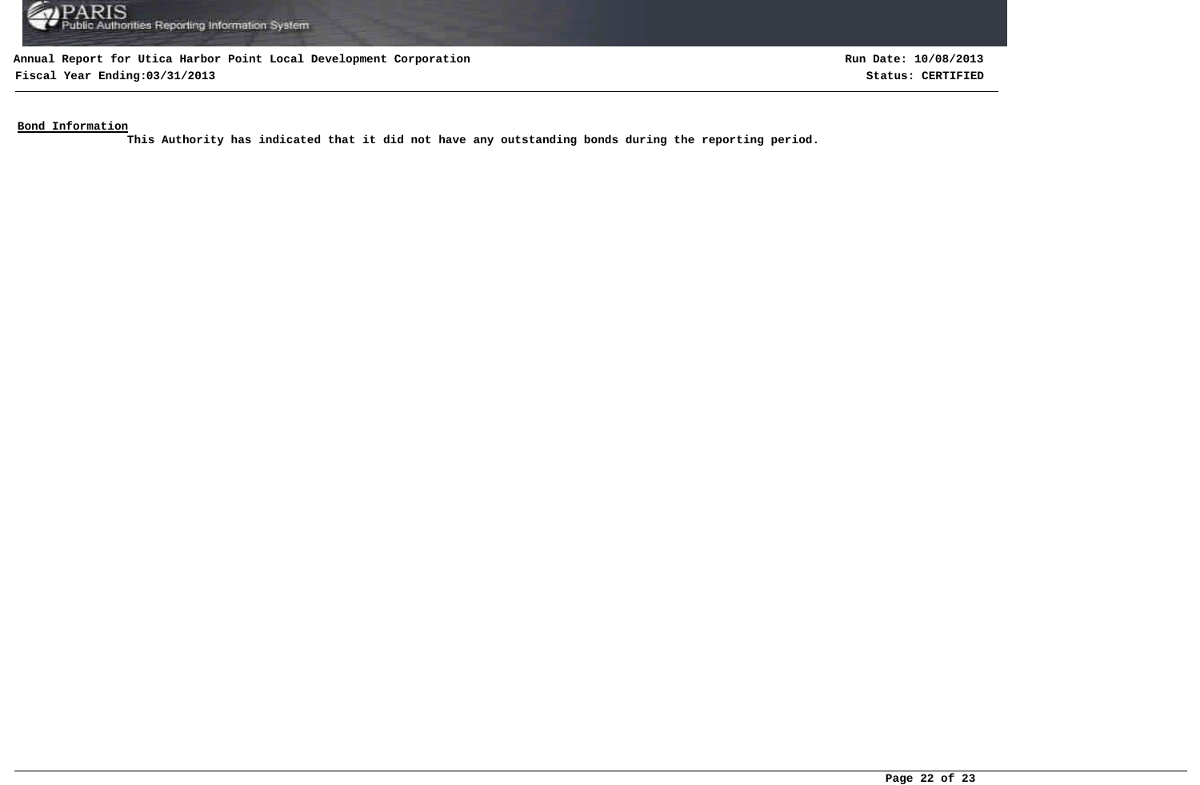

**Fiscal Year Ending:03/31/2013 Status: CERTIFIED**

**Run Date: 10/08/2013**

**Bond Information**

**This Authority has indicated that it did not have any outstanding bonds during the reporting period.**